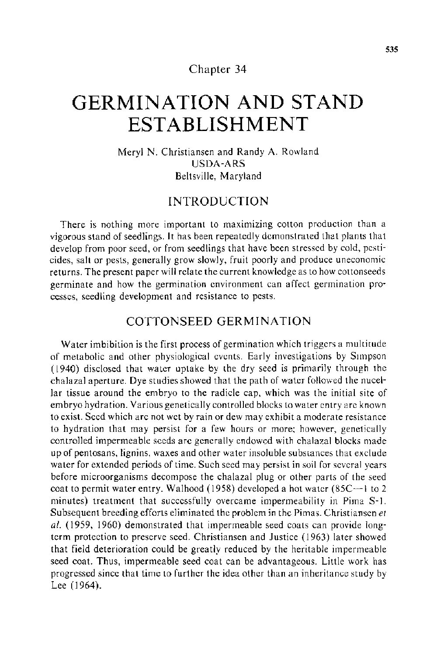## Chapter 34

# **GERMINATION AND STAND ESTABLISHMENT**

Meryl N. Christiansen and Randy A. Rowland USDA-ARS Beltsville, Maryland

# INTRODUCTION

There is nothing more important to maximizing cotton production than a vigorous stand of seedlings. It has been repeatedly demonstrated that plants that develop from poor seed, or from seedlings that have been stressed by cold, pesticides, salt or pests, generally grow slowly, fruit poorly and produce uneconomic returns. The present paper will relate the current knowledge as to how cottonseeds germinate and how the germination environment can affect germination processes, seedling development and resistance to pests.

# COTTONSEED GERMINATION

Water imbibition is the first process of germination which triggers a multitude of metabolic and other physiological events. Early investigations by S1mpson ( 1940) disclosed that water uptake by the dry seed is primarily through the chalaza] aperture. Dye studies showed that the path of water followed the nucellar tissue around the embryo to the radicle cap, which was the initial site of embryo hydration. Various genetically controlled blocks to water entry are known to exist. Seed which are not wet by rain or dew may exhibit a moderate resistance to hydration that may persist for a few hours or more; however, genetically controlled impermeable seeds are generally endowed with chalazal blocks made up of pentosans, lignins, waxes and other water insoluble substances that exclude water for extended periods of time. Such seed may persist in soil for several years before microorganisms decompose the chalaza! plug or other parts of the seed coat to permit water entry. Walhood (1958) developed a hot water (85C-1 to 2 minutes) treatment that successfully overcame impermeability in Pima S-1. Subsequent breeding efforts eliminated the problem in the Pimas. Christiansen et *a!.* (1959, 1960) demonstrated that impermeable seed coats can provide longterm protection to preserve seed. Christiansen and Justice (1963) later showed that field deterioration could be greatly reduced by the heritable impermeable seed coat. Thus, impermeable seed coat can be advantageous. Little work has progressed since that time to further the idea other than an inheritance study by Lee (1964).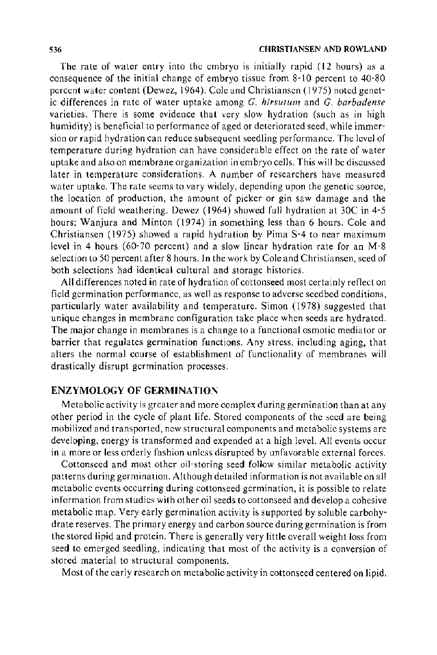The rate of water entry into the embryo is initially rapid ( 12 hours) as a consequence of the initial change of embryo tissue from 8-10 percent to 40-80 percent water content (Dewez, 1964). Cole and Christiansen (1975) noted genetic differences in rate of water uptake among G. *hirsutum* and G. *barbadense*  varieties. There is some evidence that very slow hydration (such as in high humidity) is beneficial to performance of aged or deteriorated seed, while immersion or rapid hydration can reduce subsequent seedling performance. The level of temperature during hydration can have considerable effect on the rate of water uptake and also on membrane organization in embryo cells. This will be discussed later in temperature considerations. A number of researchers have measured water uptake. The rate seems to vary widely, depending upon the genetic source, the location of production, the amount of picker or gin saw damage and the amount of field weathering. Dewez (1964) showed full hydration at 30C in 4-5 hours; Wanjura and Minton (1974) in something less than 6 hours. Cole and Christiansen (1975) showed a rapid hydration by Pima S-4 to near maximum level in 4 hours (60-70 percent) and a slow linear hydration rate for an M-8 selection to 50 percent after 8 hours. In the work by Cole and Christiansen, seed of both selections had identical cultural and storage histories.

All differences noted in rate of hydration of cottonseed most certainly reflect on field germination performance, as well as response to adverse seedbed conditions, particularly water availability and temperature. Simon (1978) suggested that unique changes in membrane configuration take place when seeds are hydrated. The major change in membranes is a change to a functional osmotic mediator or barrier that regulates germination functions. Any stress, including aging, that alters the normal course of establishment of functionality of membranes will drastically disrupt germination processes.

## **ENZYMOLOGY OF GERMINATION**

Metabolic activity is greater and more complex during germination than at any other period in the cycle of plant life. Stored components of the seed are being mobilized and transported, new structural components and metabolic systems are developing, energy is transformed and expended at a high level. All events occur in a more or less orderly fashion unless disrupted by unfavorable external forces.

Cottonseed and most other oil-storing seed follow similar metabolic activity patterns during germination. Although detailed information is not available on all metabolic events occurring during cottonseed germination, it is possible to relate information from studies with other oil seeds to cottonseed and develop a cohesive metabolic map. Very early germination activity is supported by soluble carbohydrate reserves. The primary energy and carbon source during germination is from the stored lipid and protein. There is generally very little overall weight loss from seed to emerged seedling, indicating that most of the activity is a conversion of stored material to structural components.

Most of the early research on metabolic activity in cottonseed centered on lipid.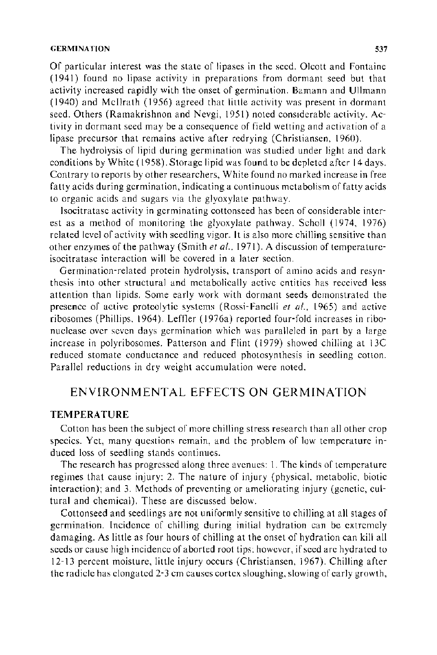#### GERMINATION 537

Of particular interest was the state of lipases in the seed. Olcott and Fontaine (1941) found no lipase activity in preparations from dormant seed but that activity increased rapidly with the onset of germination. Bamann and Ullmann ( 1940) and Mcilrath (1956) agreed that little activity was present in dormant seed. Others (Ramakrishnon and Nevgi, 1951) noted considerable activity. Activity in dormant seed may be a consequence of field wetting and activation of a lipase precursor that remains active after redrying (Christiansen, 1960).

The hydrolysis of lipid during germination was studied under light and dark conditions by White ( 1958). Storage lipid was found to be depleted after 14 days. Contrary to reports by other researchers, White found no marked increase in free fatty acids during germination, indicating a continuous metabolism of fatty acids to organic acids and sugars via the glyoxylate pathway.

Jsocitratase activity in germinating cottonseed has been of considerable interest as a method of monitoring the glyoxylate pathway. Scholl (1974, 1976) related level of activity with seedling vigor. It is also more chilling sensitive than other enzymes of the pathway (Smith *et al ..* 1971). A discussion of temperatureisocitratase interaction will be covered in a later section.

Germination-related protein hydrolysis, transport of amino acids and resynthesis into other structural and metabolically active entities has received less attention than lipids. Some early work with dormant seeds demonstrated the presence of active proteolytic systems (Rossi- Fanelli *et al ..* 1965) and active ribosomes (Phillips, 1964). Leffler ( 1976a) reported four-fold increases in ribonuclease over seven days germination which was paralleled in part by a large increase in polyribosomes. Patterson and Flint ( 1979) showed chilling at 13C reduced stomate conductance and reduced photosynthesis in seedling cotton. Parallel reductions in dry weight accumulation were noted.

# ENVIRONMENTAL EFFECTS ON GERMINATION

## **TEMPERATURE**

Cotton has been the subject of more chilling stress research than all other crop species. Yet, many questions remain, and the problem of low temperature induced loss of seedling stands continues.

The research has progressed along three avenues: I. The kinds of temperature regimes that cause injury: 2. The nature of injury (physical, metabolic, biotic interaction); and 3. Methods of preventing or ameliorating injury (genetic, cultural and chemical). These are discussed below.

Cottonseed and seedlings are not uniformly sensitive to chilling at all stages of germination. Incidence of chilling during initial hydration can be extremely damaging. As little as four hours of chilling at the onset of hydration can kill all seeds or cause high incidence of aborted root tips: however, if seed are hydrated to 12-13 percent moisture, little injury occurs (Christiansen, 1967). Chilling after the radicle has elongated 2-3 em causes cortex sloughing, slowing of early growth,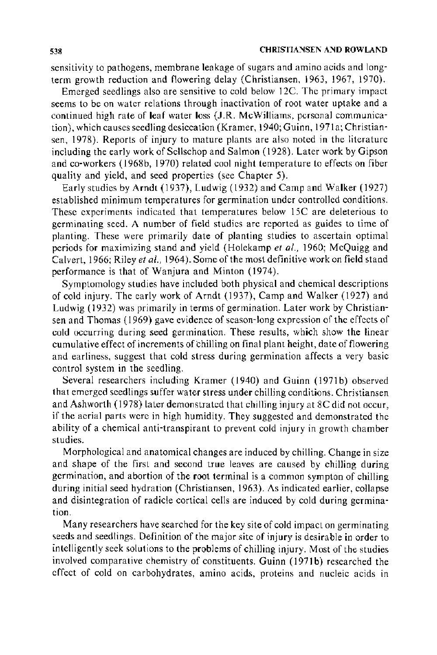sensitivity to pathogens, membrane leakage of sugars and amino acids and longterm growth reduction and flowering delay (Christiansen, 1963, 1967, 1970).

Emerged seedlings also are sensitive to cold below 12C. The primary impact seems to be on water relations through inactivation of root water uptake and a continued high rate of leaf water loss (J.R. McWilliams, personal communication), which causes seedling desiccation (Kramer, 1940; Guinn, 1971a; Christiansen, 1978). Reports of injury to mature plants are also noted in the literature including the early work of Sellschop and Salmon ( 1928). Later work by Gipson and co-workers (1968b, 1970) related cool night temperature to effects on fiber quality and yield, and seed properties (see Chapter 5).

Early studies by Arndt (1937), Ludwig (1932) and Camp and Walker (1927) established minimum temperatures for germination under controlled conditions. These experiments indicated that temperatures below 15C are deleterious to germinating seed. A number of field studies are reported as guides to time of planting. These were primarily date of planting studies to ascertain optimal periods for maximizing stand and yield (Holekamp *et al.,* 1960; McQuigg and Calvert, 1966; Riley *eta/.,* 1964 ). Some of the most definitive work on field stand performance is that of Wanjura and Minton (1974).

Symptomology studies have included both physical and chemical descriptions of cold injury. The early work of Arndt (1937), Camp and Walker (1927) and Ludwig ( 1932) was primarily in terms of germination. Later work by Christiansen and Thomas ( 1969) gave evidence of season-long expression of the effects of cold occurring during seed germination. These results, which show the linear cumulative effect of increments of chilling on final plant height, date of flowering and earliness, suggest that cold stress during germination affects a very basic control system in the seedling.

Several researchers including Kramer (1940) and Guinn (1971b) observed that emerged seedlings suffer water stress under chilling conditions. Christiansen and Ashworth ( 1978) later demonstrated that chilling injury at 8C did not occur, if the aerial parts were in high humidity. They suggested and demonstrated the ability of a chemical anti-transpirant to prevent cold injury in growth chamber studies.

Morphological and anatomical changes are induced by chilling. Change in size and shape of the first and second true leaves are caused by chilling during germination, and abortion of the root terminal is a common sympton of chilling during initial seed hydration (Christiansen, 1963). As indicated earlier, collapse and disintegration of radicle cortical cells are induced by cold during germination.

Many researchers have searched for the key site of cold impact on germinating seeds and seedlings. Definition of the major site of injury is desirable in order to intelligently seek solutions to the problems of chilling injury. Most of the studies involved comparative chemistry of constituents. Guinn (1971b) researched the effect of cold on carbohydrates, amino acids, proteins and nucleic acids in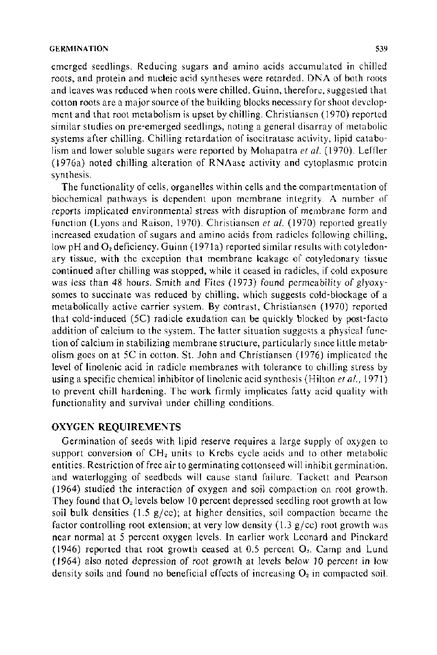#### GERMINATION 539

emerged seedlings. Reducing sugars and amino acids accumulated in chilled roots, and protein and nucleic acid syntheses were retarded. DNA of both roots and leaves was reduced when roots were chilled. Guinn, therefore, suggested that cotton roots are a major source of the building blocks necessary for shoot development and that root metabolism is upset by chilling. Christiansen ( 1970) reported similar studies on pre-emerged seedlings, noting a general disarray of metabolic systems after chilling. Chilling retardation of isocitratase activity, lipid catabolism and lower soluble sugars were reported by Mohapatra *eta/.* ( 1970). Leffler (1976a) noted chilling alteration of  $RN\Lambda$ ase activity and cytoplasmic protein synthesis.

The functionality of cells, organelles within cells and the compartmentation of biochemical pathways is dependent upon membrane integrity. A number of reports implicated environmental stress with disruption of membrane form and function (Lyons and Raison, 1970). Christiansen *et a/.* ( 1970) reported greatly increased exudation of sugars and amino acids from radicles following chilling, low pH and  $O<sub>2</sub>$  deficiency. Guinn (1971a) reported similar results with cotyledonary tissue, with the exception that membrane leakage of cotyledonary tissue continued after chilling was stopped, while it ceased in radicles, if cold exposure was less than 48 hours. Smith and Fites (1973) found permeability of glyoxysomes to succinate was reduced by chilling, which suggests cold-blockage of a metabolically active carrier system. By contrast, Christiansen ( 1970) reported that cold-induced (5C) radicle exudation can be quickly blocked by post-facto addition of calcium to the system. The latter situation suggests a physical function of calcium in stabilizing membrane structure, particularly smce little metabolism goes on at 5C in cotton. St. John and Christiansen ( 1976) implicated the level of linolenic acid in radicle membranes with tolerance to chilling stress by using a specific chemical inhibitor of linolenic acid synthesis (Hilton *eta/.,* 1971) to prevent chill hardening. The work firmly implicates fatty acid quality with functionality and survival under chilling conditions.

#### **OXYGEN REQUIREMENTS**

Germination of seeds with lipid reserve requires a large supply of oxygen to support conversion of  $CH<sub>2</sub>$  units to Krebs cycle acids and to other metabolic entities. Restriction of free air to germinating cottonseed will inhibit germination, and waterlogging of seedbeds will cause stand failure. Tackett and Pearson ( 1964) studied the interaction of oxygen and soil compaction on root growth. They found that  $O_2$  levels below 10 percent depressed seedling root growth at low soil bulk densities (1.5  $g$ /cc); at higher densities, soil compaction became the factor controlling root extension; at very low density  $(1.3 \text{ g/cc})$  root growth was near normal at 5 percent oxygen levels. In earlier work Leonard and Pinckard (1946) reported that root growth ceased at  $0.5$  percent  $O<sub>2</sub>$ . Camp and Lund (1964) also noted depression of root growth at levels below 10 percent in low density soils and found no beneficial effects of increasing  $O<sub>2</sub>$  in compacted soil.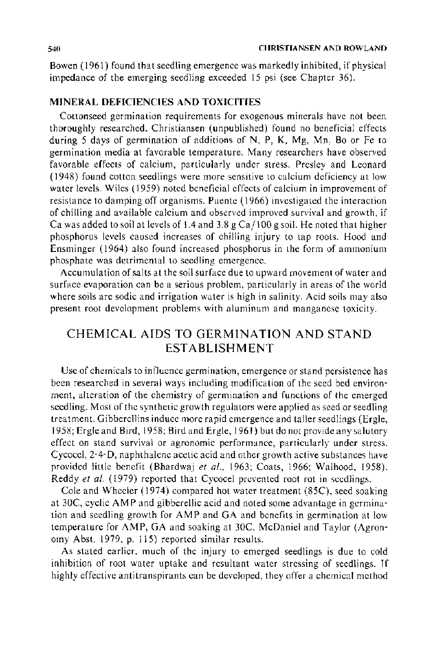Bowen ( 1961) found that seedling emergence was markedly inhibited, if physical impedance of the emerging seedling exceeded 15 psi (see Chapter 36).

## MINERAL DEFICIENCIES AND TOXICITIES

Cottonseed germination requirements for exogenous minerals have not been thoroughly researched. Christiansen (unpublished) found no beneficial effects during 5 days of germination of additions of N, P, K, Mg, Mn, Bo or Fe to germination media at favorable temperature. Many researchers have observed favorable effects of calcium, particularly under stress. Presley and Leonard ( 1948) found cotton seedlings were more sensitive to calcium deficiency at low water levels. Wiles ( 1959) noted beneficial effects of calcium in improvement of resistance to damping off organisms. Puente ( 1966) investigated the interaction of chilling and available calcium and observed improved survival and growth, if Ca was added to soil at levels of 1.4 and 3.8 g Ca/100 g soil. He noted that higher phosphorus levels caused increases of chilling injury to tap roots. Hood and Ensminger (1964) also found increased phosphorus in the form of ammonium phosphate was detrimental to seedling emergence.

Accumulation of salts at the soil surface due to upward movement of water and surface evaporation can be a serious problem, particularly in areas of the world where soils are sodic and irrigation water is high in salinity. Acid soils may also present root development problems with aluminum and manganese toxicity.

# CHEMICAL AIDS TO GERMINATION AND STAND ESTABLISHMENT

Use of chemicals to influence germination, emergence or stand persistence has been researched in several ways including modification of the seed bed environment, alteration of the chemistry of germination and functions of the emerged seedling. Most of the synthetic growth regulators were applied as seed or seedling treatment. Gibberellins induce more rapid emergence and taller seedlings (Ergle, 1958; Ergle and Bird, 1958; Bird and Ergle, 1961) but do not provide any salutary effect on stand survival or agronomic performance, particularly under stress. Cycocel, 2-4-D, naphthalene acetic acid and other growth active substances have provided little benefit (Bhardwaj et al., 1963; Coats, 1966; Walhood, 1958). Reddy et al. (1979) reported that Cycocel prevented root rot in seedlings.

Cole and Wheeler ( 1974) compared hot water treatment (85C), seed soaking at 30C, cyclic AMP and gibberellic acid and noted some advantage in germination and seedling growth for AMP and GA and benefits in germination at low temperature for AMP, GA and soaking at 30C. McDaniel and Taylor (Agronomy Abst. 1979, p. 115) reported similar results.

As stated earlier, much of the injury to emerged seedlings is due to cold inhibition of root water uptake and resultant water stressing of seedlings. If highly effective antitranspirants can be developed, they offer a chemical method